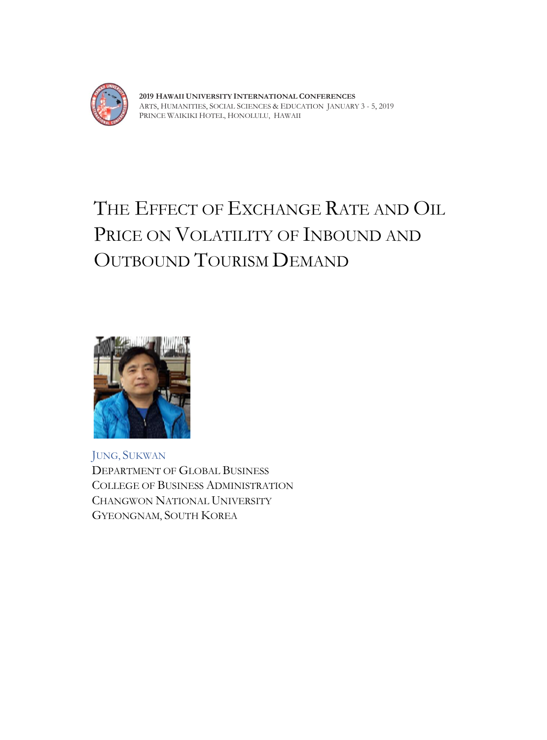

**2019 HAWAII UNIVERSITY INTERNATIONAL CONFERENCES**  ARTS, HUMANITIES, SOCIAL SCIENCES & EDUCATION JANUARY 3 - 5, 2019 PRINCE WAIKIKI HOTEL, HONOLULU, HAWAII

# THE EFFECT OF EXCHANGE RATE AND OIL PRICE ON VOLATILITY OF INBOUND AND OUTBOUND TOURISM DEMAND



JUNG, SUKWAN DEPARTMENT OF GLOBAL BUSINESS COLLEGE OF BUSINESS ADMINISTRATION CHANGWON NATIONAL UNIVERSITY GYEONGNAM, SOUTH KOREA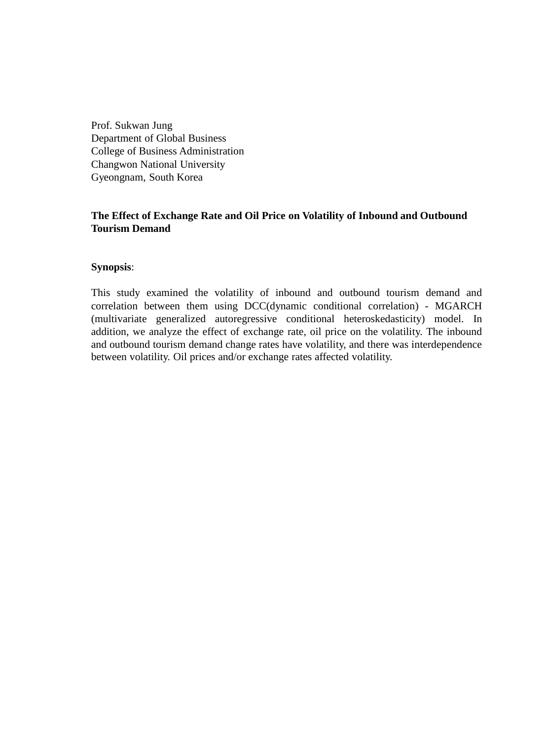Prof. Sukwan Jung Department of Global Business College of Business Administration Changwon National University Gyeongnam, South Korea

# **The Effect of Exchange Rate and Oil Price on Volatility of Inbound and Outbound Tourism Demand**

# **Synopsis**:

This study examined the volatility of inbound and outbound tourism demand and correlation between them using DCC(dynamic conditional correlation) - MGARCH (multivariate generalized autoregressive conditional heteroskedasticity) model. In addition, we analyze the effect of exchange rate, oil price on the volatility. The inbound and outbound tourism demand change rates have volatility, and there was interdependence between volatility. Oil prices and/or exchange rates affected volatility.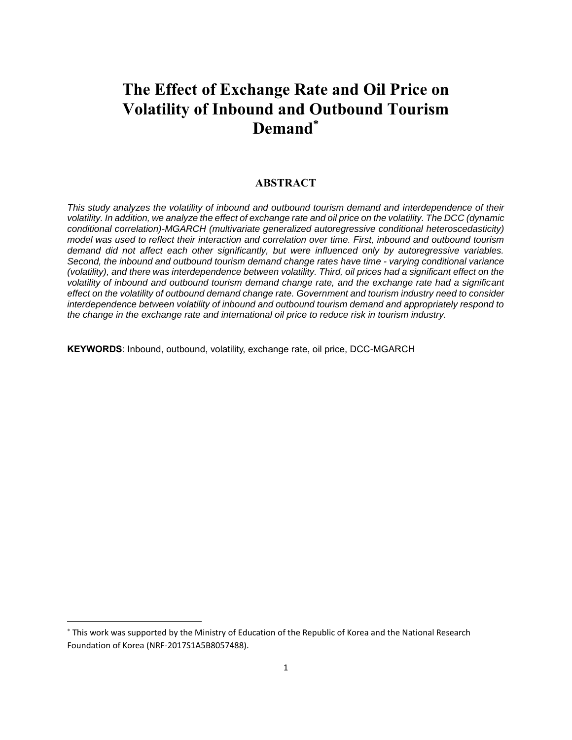# **The Effect of Exchange Rate and Oil Price on Volatility of Inbound and Outbound Tourism Demand\***

#### **ABSTRACT**

*This study analyzes the volatility of inbound and outbound tourism demand and interdependence of their volatility. In addition, we analyze the effect of exchange rate and oil price on the volatility. The DCC (dynamic conditional correlation)-MGARCH (multivariate generalized autoregressive conditional heteroscedasticity) model was used to reflect their interaction and correlation over time. First, inbound and outbound tourism demand did not affect each other significantly, but were influenced only by autoregressive variables. Second, the inbound and outbound tourism demand change rates have time - varying conditional variance (volatility), and there was interdependence between volatility. Third, oil prices had a significant effect on the volatility of inbound and outbound tourism demand change rate, and the exchange rate had a significant effect on the volatility of outbound demand change rate. Government and tourism industry need to consider interdependence between volatility of inbound and outbound tourism demand and appropriately respond to the change in the exchange rate and international oil price to reduce risk in tourism industry.*

**KEYWORDS**: Inbound, outbound, volatility, exchange rate, oil price, DCC-MGARCH

This work was supported by the Ministry of Education of the Republic of Korea and the National Research Foundation of Korea (NRF-2017S1A5B8057488).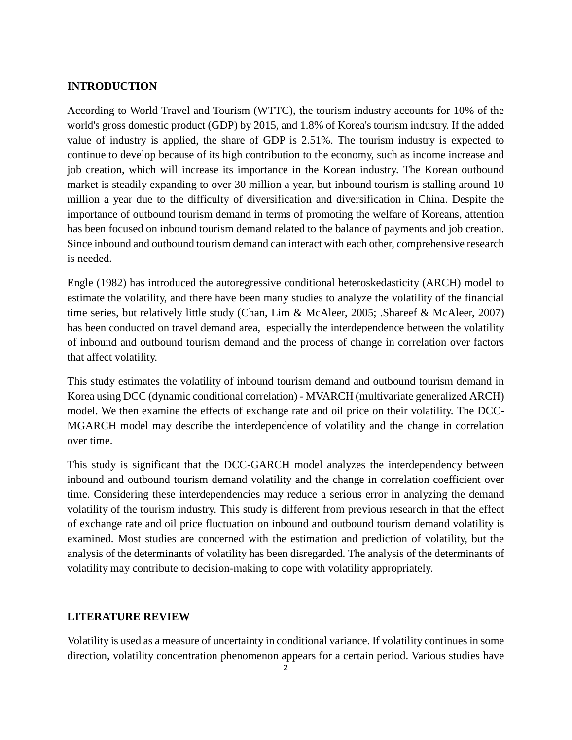#### **INTRODUCTION**

According to World Travel and Tourism (WTTC), the tourism industry accounts for 10% of the world's gross domestic product (GDP) by 2015, and 1.8% of Korea's tourism industry. If the added value of industry is applied, the share of GDP is 2.51%. The tourism industry is expected to continue to develop because of its high contribution to the economy, such as income increase and job creation, which will increase its importance in the Korean industry. The Korean outbound market is steadily expanding to over 30 million a year, but inbound tourism is stalling around 10 million a year due to the difficulty of diversification and diversification in China. Despite the importance of outbound tourism demand in terms of promoting the welfare of Koreans, attention has been focused on inbound tourism demand related to the balance of payments and job creation. Since inbound and outbound tourism demand can interact with each other, comprehensive research is needed.

Engle (1982) has introduced the autoregressive conditional heteroskedasticity (ARCH) model to estimate the volatility, and there have been many studies to analyze the volatility of the financial time series, but relatively little study (Chan, Lim & McAleer, 2005; .Shareef & McAleer, 2007) has been conducted on travel demand area, especially the interdependence between the volatility of inbound and outbound tourism demand and the process of change in correlation over factors that affect volatility.

This study estimates the volatility of inbound tourism demand and outbound tourism demand in Korea using DCC (dynamic conditional correlation) - MVARCH (multivariate generalized ARCH) model. We then examine the effects of exchange rate and oil price on their volatility. The DCC-MGARCH model may describe the interdependence of volatility and the change in correlation over time.

This study is significant that the DCC-GARCH model analyzes the interdependency between inbound and outbound tourism demand volatility and the change in correlation coefficient over time. Considering these interdependencies may reduce a serious error in analyzing the demand volatility of the tourism industry. This study is different from previous research in that the effect of exchange rate and oil price fluctuation on inbound and outbound tourism demand volatility is examined. Most studies are concerned with the estimation and prediction of volatility, but the analysis of the determinants of volatility has been disregarded. The analysis of the determinants of volatility may contribute to decision-making to cope with volatility appropriately.

#### **LITERATURE REVIEW**

Volatility is used as a measure of uncertainty in conditional variance. If volatility continues in some direction, volatility concentration phenomenon appears for a certain period. Various studies have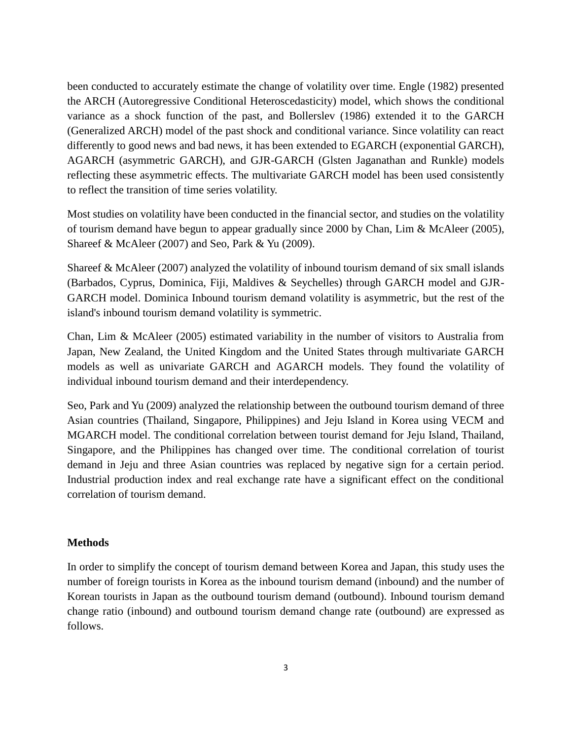been conducted to accurately estimate the change of volatility over time. Engle (1982) presented the ARCH (Autoregressive Conditional Heteroscedasticity) model, which shows the conditional variance as a shock function of the past, and Bollerslev (1986) extended it to the GARCH (Generalized ARCH) model of the past shock and conditional variance. Since volatility can react differently to good news and bad news, it has been extended to EGARCH (exponential GARCH), AGARCH (asymmetric GARCH), and GJR-GARCH (Glsten Jaganathan and Runkle) models reflecting these asymmetric effects. The multivariate GARCH model has been used consistently to reflect the transition of time series volatility.

Most studies on volatility have been conducted in the financial sector, and studies on the volatility of tourism demand have begun to appear gradually since 2000 by Chan, Lim & McAleer (2005), Shareef & McAleer (2007) and Seo, Park & Yu (2009).

Shareef & McAleer (2007) analyzed the volatility of inbound tourism demand of six small islands (Barbados, Cyprus, Dominica, Fiji, Maldives & Seychelles) through GARCH model and GJR-GARCH model. Dominica Inbound tourism demand volatility is asymmetric, but the rest of the island's inbound tourism demand volatility is symmetric.

Chan, Lim & McAleer (2005) estimated variability in the number of visitors to Australia from Japan, New Zealand, the United Kingdom and the United States through multivariate GARCH models as well as univariate GARCH and AGARCH models. They found the volatility of individual inbound tourism demand and their interdependency.

Seo, Park and Yu (2009) analyzed the relationship between the outbound tourism demand of three Asian countries (Thailand, Singapore, Philippines) and Jeju Island in Korea using VECM and MGARCH model. The conditional correlation between tourist demand for Jeju Island, Thailand, Singapore, and the Philippines has changed over time. The conditional correlation of tourist demand in Jeju and three Asian countries was replaced by negative sign for a certain period. Industrial production index and real exchange rate have a significant effect on the conditional correlation of tourism demand.

# **Methods**

In order to simplify the concept of tourism demand between Korea and Japan, this study uses the number of foreign tourists in Korea as the inbound tourism demand (inbound) and the number of Korean tourists in Japan as the outbound tourism demand (outbound). Inbound tourism demand change ratio (inbound) and outbound tourism demand change rate (outbound) are expressed as follows.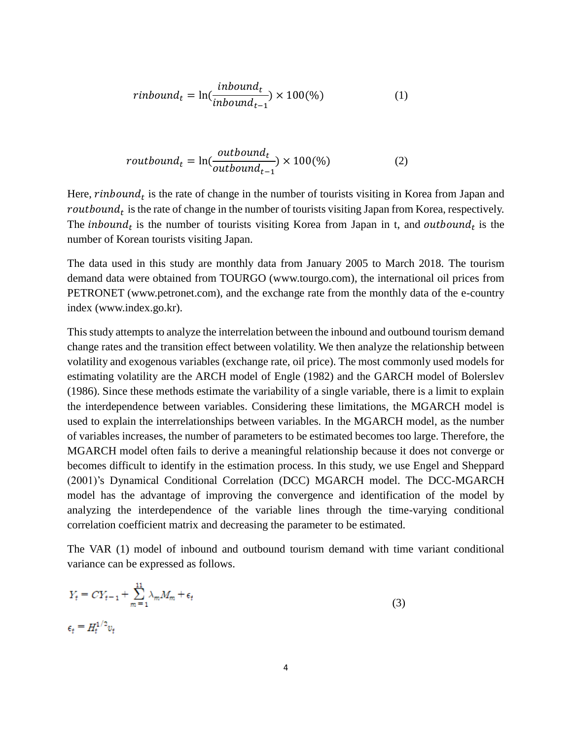$$
rinbound_t = \ln(\frac{inbound_t}{inbound_{t-1}}) \times 100\%
$$
 (1)

$$
routboundt = ln(\frac{outboundt}{outboundt-1}) \times 100\%
$$
 (2)

Here,  $\mathit{rinbound}_t$  is the rate of change in the number of tourists visiting in Korea from Japan and  $\mathit{routbound}_t$  is the rate of change in the number of tourists visiting Japan from Korea, respectively. The *inbound<sub>t</sub>* is the number of tourists visiting Korea from Japan in t, and *outbound<sub>t</sub>* is the number of Korean tourists visiting Japan.

The data used in this study are monthly data from January 2005 to March 2018. The tourism demand data were obtained from TOURGO (www.tourgo.com), the international oil prices from PETRONET (www.petronet.com), and the exchange rate from the monthly data of the e-country index (www.index.go.kr).

This study attempts to analyze the interrelation between the inbound and outbound tourism demand change rates and the transition effect between volatility. We then analyze the relationship between volatility and exogenous variables (exchange rate, oil price). The most commonly used models for estimating volatility are the ARCH model of Engle (1982) and the GARCH model of Bolerslev (1986). Since these methods estimate the variability of a single variable, there is a limit to explain the interdependence between variables. Considering these limitations, the MGARCH model is used to explain the interrelationships between variables. In the MGARCH model, as the number of variables increases, the number of parameters to be estimated becomes too large. Therefore, the MGARCH model often fails to derive a meaningful relationship because it does not converge or becomes difficult to identify in the estimation process. In this study, we use Engel and Sheppard (2001)'s Dynamical Conditional Correlation (DCC) MGARCH model. The DCC-MGARCH model has the advantage of improving the convergence and identification of the model by analyzing the interdependence of the variable lines through the time-varying conditional correlation coefficient matrix and decreasing the parameter to be estimated.

The VAR (1) model of inbound and outbound tourism demand with time variant conditional variance can be expressed as follows.

$$
Y_t = CY_{t-1} + \sum_{m=1}^{11} \lambda_m M_m + \epsilon_t
$$
  

$$
\epsilon_t = H_t^{1/2} v_t
$$
 (3)

ă.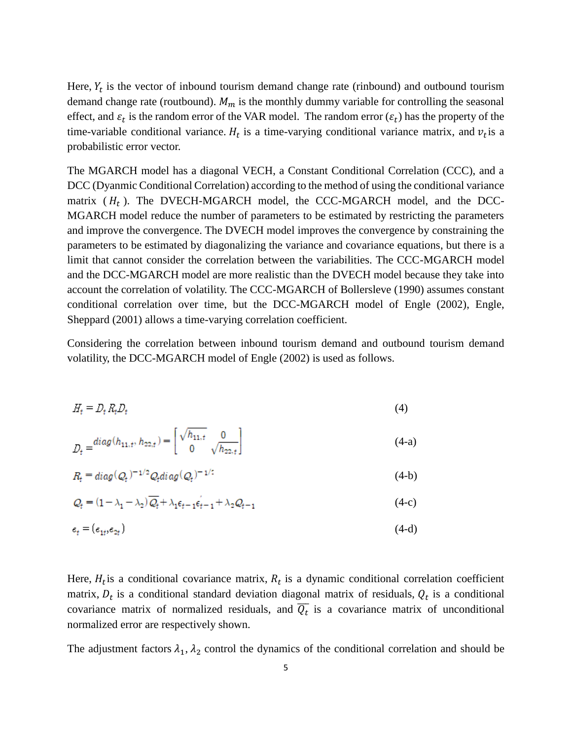Here,  $Y_t$  is the vector of inbound tourism demand change rate (rinbound) and outbound tourism demand change rate (routbound).  $M_m$  is the monthly dummy variable for controlling the seasonal effect, and  $\varepsilon_t$  is the random error of the VAR model. The random error  $(\varepsilon_t)$  has the property of the time-variable conditional variance.  $H_t$  is a time-varying conditional variance matrix, and  $v_t$  is a probabilistic error vector.

The MGARCH model has a diagonal VECH, a Constant Conditional Correlation (CCC), and a DCC (Dyanmic Conditional Correlation) according to the method of using the conditional variance matrix  $(H_t)$ . The DVECH-MGARCH model, the CCC-MGARCH model, and the DCC-MGARCH model reduce the number of parameters to be estimated by restricting the parameters and improve the convergence. The DVECH model improves the convergence by constraining the parameters to be estimated by diagonalizing the variance and covariance equations, but there is a limit that cannot consider the correlation between the variabilities. The CCC-MGARCH model and the DCC-MGARCH model are more realistic than the DVECH model because they take into account the correlation of volatility. The CCC-MGARCH of Bollersleve (1990) assumes constant conditional correlation over time, but the DCC-MGARCH model of Engle (2002), Engle, Sheppard (2001) allows a time-varying correlation coefficient.

Considering the correlation between inbound tourism demand and outbound tourism demand volatility, the DCC-MGARCH model of Engle (2002) is used as follows.

$$
H_t = D_t R_t D_t \tag{4}
$$

$$
D_t = \begin{bmatrix} diag(h_{11,t}, h_{22,t}) = \begin{bmatrix} \sqrt{h_{11,t}} & 0 \\ 0 & \sqrt{h_{22,t}} \end{bmatrix} \end{bmatrix}
$$
 (4-a)

$$
R_t = diag(Q_t)^{-1/2} Q_t diag(Q_t)^{-1/2}
$$
\n(4-b)

$$
Q_t = (1 - \lambda_1 - \lambda_2) \overline{Q_t} + \lambda_1 \epsilon_{t-1} \epsilon_{t-1} + \lambda_2 Q_{t-1}
$$
\n
$$
(4-c)
$$

$$
\epsilon_t = (\epsilon_{1t}, \epsilon_{2t}) \tag{4-d}
$$

Here,  $H_t$  is a conditional covariance matrix,  $R_t$  is a dynamic conditional correlation coefficient matrix,  $D_t$  is a conditional standard deviation diagonal matrix of residuals,  $Q_t$  is a conditional covariance matrix of normalized residuals, and  $\overline{Q_t}$  is a covariance matrix of unconditional normalized error are respectively shown.

The adjustment factors  $\lambda_1$ ,  $\lambda_2$  control the dynamics of the conditional correlation and should be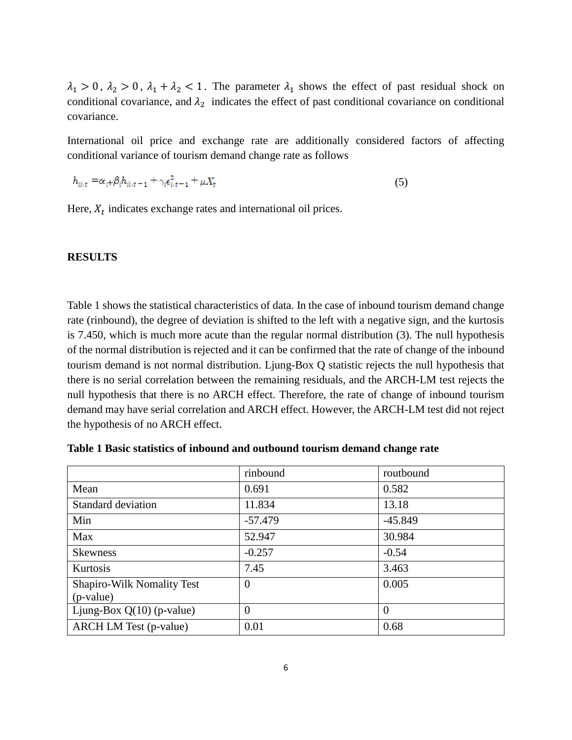$\lambda_1 > 0$ ,  $\lambda_2 > 0$ ,  $\lambda_1 + \lambda_2 < 1$ . The parameter  $\lambda_1$  shows the effect of past residual shock on conditional covariance, and  $\lambda_2$  indicates the effect of past conditional covariance on conditional covariance.

International oil price and exchange rate are additionally considered factors of affecting conditional variance of tourism demand change rate as follows

$$
h_{ii,t} = \alpha_{t} + \beta_i h_{ii,t-1} + \gamma_i \epsilon_{i,t-1}^2 + \mu X_t
$$
\n(5)

Here,  $X_t$  indicates exchange rates and international oil prices.

#### **RESULTS**

Table 1 shows the statistical characteristics of data. In the case of inbound tourism demand change rate (rinbound), the degree of deviation is shifted to the left with a negative sign, and the kurtosis is 7.450, which is much more acute than the regular normal distribution (3). The null hypothesis of the normal distribution is rejected and it can be confirmed that the rate of change of the inbound tourism demand is not normal distribution. Ljung-Box Q statistic rejects the null hypothesis that there is no serial correlation between the remaining residuals, and the ARCH-LM test rejects the null hypothesis that there is no ARCH effect. Therefore, the rate of change of inbound tourism demand may have serial correlation and ARCH effect. However, the ARCH-LM test did not reject the hypothesis of no ARCH effect.

|                                                  | rinbound  | routbound |
|--------------------------------------------------|-----------|-----------|
| Mean                                             | 0.691     | 0.582     |
| <b>Standard deviation</b>                        | 11.834    | 13.18     |
| Min                                              | $-57.479$ | $-45.849$ |
| Max                                              | 52.947    | 30.984    |
| <b>Skewness</b>                                  | $-0.257$  | $-0.54$   |
| Kurtosis                                         | 7.45      | 3.463     |
| <b>Shapiro-Wilk Nomality Test</b><br>$(p-value)$ | $\theta$  | 0.005     |
| Ljung-Box $Q(10)$ (p-value)                      | $\Omega$  | $\Omega$  |
| <b>ARCH LM Test (p-value)</b>                    | 0.01      | 0.68      |

**Table 1 Basic statistics of inbound and outbound tourism demand change rate**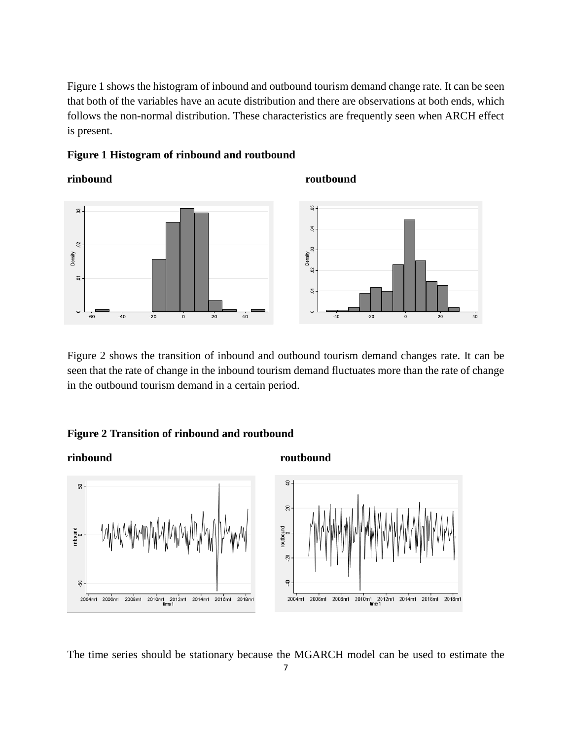Figure 1 shows the histogram of inbound and outbound tourism demand change rate. It can be seen that both of the variables have an acute distribution and there are observations at both ends, which follows the non-normal distribution. These characteristics are frequently seen when ARCH effect is present.

# **Figure 1 Histogram of rinbound and routbound**

# **rinbound** routbound



Figure 2 shows the transition of inbound and outbound tourism demand changes rate. It can be seen that the rate of change in the inbound tourism demand fluctuates more than the rate of change in the outbound tourism demand in a certain period.

# **Figure 2 Transition of rinbound and routbound**

**rinbound** routbound



The time series should be stationary because the MGARCH model can be used to estimate the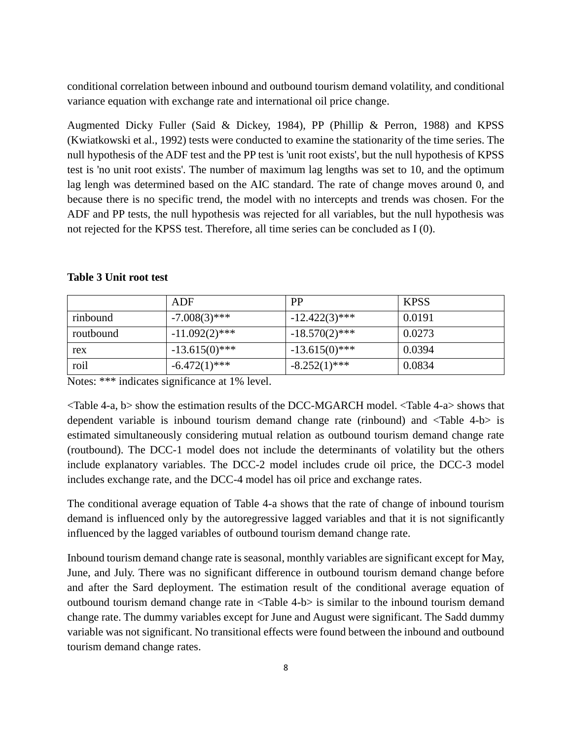conditional correlation between inbound and outbound tourism demand volatility, and conditional variance equation with exchange rate and international oil price change.

Augmented Dicky Fuller (Said & Dickey, 1984), PP (Phillip & Perron, 1988) and KPSS (Kwiatkowski et al., 1992) tests were conducted to examine the stationarity of the time series. The null hypothesis of the ADF test and the PP test is 'unit root exists', but the null hypothesis of KPSS test is 'no unit root exists'. The number of maximum lag lengths was set to 10, and the optimum lag lengh was determined based on the AIC standard. The rate of change moves around 0, and because there is no specific trend, the model with no intercepts and trends was chosen. For the ADF and PP tests, the null hypothesis was rejected for all variables, but the null hypothesis was not rejected for the KPSS test. Therefore, all time series can be concluded as I (0).

|           | ADF              | <b>PP</b>        | <b>KPSS</b> |
|-----------|------------------|------------------|-------------|
| rinbound  | $-7.008(3)$ ***  | $-12.422(3)$ *** | 0.0191      |
| routbound | $-11.092(2)$ *** | $-18.570(2)$ *** | 0.0273      |
| rex       | $-13.615(0)$ *** | $-13.615(0)$ *** | 0.0394      |
| roil      | $-6.472(1)$ ***  | $-8.252(1)$ ***  | 0.0834      |

# **Table 3 Unit root test**

Notes: \*\*\* indicates significance at 1% level.

<Table 4-a, b> show the estimation results of the DCC-MGARCH model. <Table 4-a> shows that dependent variable is inbound tourism demand change rate (rinbound) and <Table 4-b> is estimated simultaneously considering mutual relation as outbound tourism demand change rate (routbound). The DCC-1 model does not include the determinants of volatility but the others include explanatory variables. The DCC-2 model includes crude oil price, the DCC-3 model includes exchange rate, and the DCC-4 model has oil price and exchange rates.

The conditional average equation of Table 4-a shows that the rate of change of inbound tourism demand is influenced only by the autoregressive lagged variables and that it is not significantly influenced by the lagged variables of outbound tourism demand change rate.

Inbound tourism demand change rate is seasonal, monthly variables are significant except for May, June, and July. There was no significant difference in outbound tourism demand change before and after the Sard deployment. The estimation result of the conditional average equation of outbound tourism demand change rate in <Table 4-b> is similar to the inbound tourism demand change rate. The dummy variables except for June and August were significant. The Sadd dummy variable was not significant. No transitional effects were found between the inbound and outbound tourism demand change rates.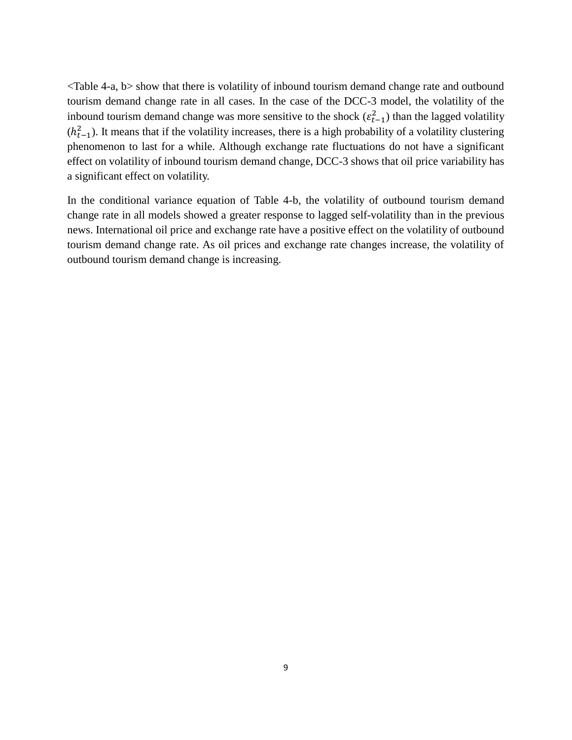<Table 4-a, b> show that there is volatility of inbound tourism demand change rate and outbound tourism demand change rate in all cases. In the case of the DCC-3 model, the volatility of the inbound tourism demand change was more sensitive to the shock  $(\varepsilon_{t-1}^2)$  than the lagged volatility  $(h_{t-1}^2)$ . It means that if the volatility increases, there is a high probability of a volatility clustering phenomenon to last for a while. Although exchange rate fluctuations do not have a significant effect on volatility of inbound tourism demand change, DCC-3 shows that oil price variability has a significant effect on volatility.

In the conditional variance equation of Table 4-b, the volatility of outbound tourism demand change rate in all models showed a greater response to lagged self-volatility than in the previous news. International oil price and exchange rate have a positive effect on the volatility of outbound tourism demand change rate. As oil prices and exchange rate changes increase, the volatility of outbound tourism demand change is increasing.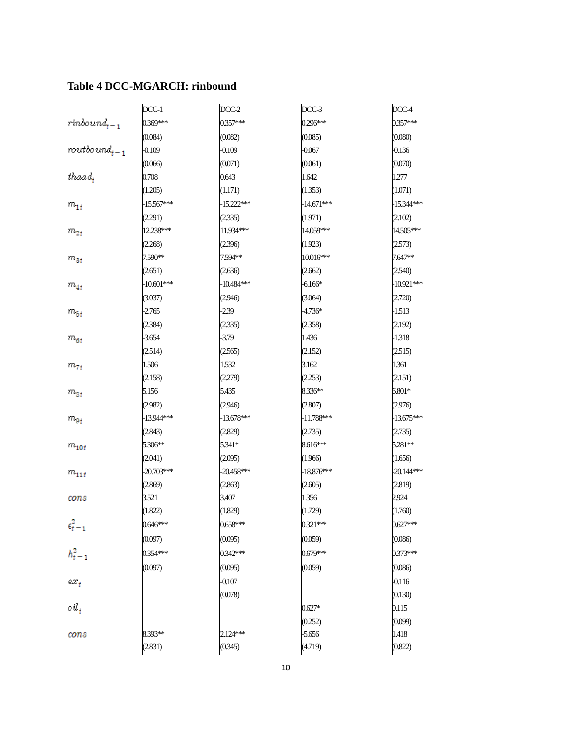|                                                                                                                                                                                    | $DCC-1$      | DCC-2        | DCC-3        | DCC-4        |
|------------------------------------------------------------------------------------------------------------------------------------------------------------------------------------|--------------|--------------|--------------|--------------|
|                                                                                                                                                                                    | 0.369***     | 0.357***     | 0.296***     | 0.357***     |
|                                                                                                                                                                                    | (0.084)      | (0.082)      | (0.085)      | (0.080)      |
|                                                                                                                                                                                    | $-0.109$     | $-0.109$     | $-0.067$     | $-0.136$     |
| $\begin{array}{l} \displaystyle \overline{rinbound_{t-1}}\\ \\ \displaystyle \overline{rootbound_{t-1}}\\ \\ \displaystyle \overline{t}h\overline{a}a\overline{d}_{t} \end{array}$ | (0.066)      | (0.071)      | (0.061)      | (0.070)      |
|                                                                                                                                                                                    | 0.708        | 0.643        | 1.642        | 1.277        |
|                                                                                                                                                                                    | (1.205)      | (1.171)      | (1.353)      | (1.071)      |
| $m_{1t}^{\phantom{\dag}}$                                                                                                                                                          | $-15.567***$ | $-15.222***$ | $-14.671***$ | $-15.344***$ |
|                                                                                                                                                                                    | (2.291)      | (2.335)      | (1.971)      | (2.102)      |
| $m_{2\it f}$                                                                                                                                                                       | 12.238***    | 11.934***    | 14.059***    | 14.505***    |
|                                                                                                                                                                                    | (2.268)      | (2.396)      | (1.923)      | (2.573)      |
| $m_{3t}$                                                                                                                                                                           | 7.590**      | 7.594**      | 10.016***    | 7.647**      |
|                                                                                                                                                                                    | (2.651)      | (2.636)      | (2.662)      | (2.540)      |
| $m_{4t}$                                                                                                                                                                           | $-10.601***$ | $-10.484***$ | $-6.166*$    | $-10.921***$ |
|                                                                                                                                                                                    | (3.037)      | (2.946)      | (3.064)      | (2.720)      |
| $m_{5\bar{t}}$                                                                                                                                                                     | $-2.765$     | $-2.39$      | -4.736*      | $-1.513$     |
|                                                                                                                                                                                    | (2.384)      | (2.335)      | (2.358)      | (2.192)      |
| $m_{\rm 6f}$                                                                                                                                                                       | $-3.654$     | $-3.79$      | 1.436        | $-1.318$     |
|                                                                                                                                                                                    | (2.514)      | (2.565)      | (2.152)      | (2.515)      |
| $m_{7\it t}$                                                                                                                                                                       | 1.506        | 1.532        | 3.162        | 1.361        |
|                                                                                                                                                                                    | (2.158)      | (2.279)      | (2.253)      | (2.151)      |
| $m_{\rm{S}f}$                                                                                                                                                                      | 5.156        | 5.435        | 8.336**      | $6.801*$     |
|                                                                                                                                                                                    | (2.982)      | (2.946)      | (2.807)      | (2.976)      |
| $m_{9\it f}$                                                                                                                                                                       | $-13.944***$ | $-13.678***$ | $-11.788***$ | $-13.675***$ |
|                                                                                                                                                                                    | (2.843)      | (2.829)      | (2.735)      | (2.735)      |
| $m_{\rm 10f}$                                                                                                                                                                      | 5.306**      | 5.341*       | 8.616***     | 5.281**      |
|                                                                                                                                                                                    | (2.041)      | (2.095)      | (1.966)      | (1.656)      |
| $m_{\bf 11f}$                                                                                                                                                                      | $-20.703***$ | $-20.458***$ | $-18.876***$ | $-20.144***$ |
|                                                                                                                                                                                    | (2.869)      | (2.863)      | (2.605)      | (2.819)      |
| cons                                                                                                                                                                               | 3.521        | 3.407        | 1.356        | 2.924        |
|                                                                                                                                                                                    | (1.822)      | (1.829)      | (1.729)      | (1.760)      |
| $\epsilon_{t-1}^2$                                                                                                                                                                 | 0.646***     | 0.658***     | $0.321***$   | $0.627***$   |
|                                                                                                                                                                                    | (0.097)      | (0.095)      | (0.059)      | (0.086)      |
| $h_{t-1}^2$                                                                                                                                                                        | 0.354***     | 0.342***     | $0.679***$   | 0.373***     |
|                                                                                                                                                                                    | (0.097)      | (0.095)      | (0.059)      | (0.086)      |
| $ex_t$                                                                                                                                                                             |              | $-0.107$     |              | $-0.116$     |
|                                                                                                                                                                                    |              | (0.078)      |              | (0.130)      |
| oil,                                                                                                                                                                               |              |              | $0.627*$     | 0.115        |
|                                                                                                                                                                                    |              |              | (0.252)      | (0.099)      |
| cons                                                                                                                                                                               | 8.393**      | 2.124***     | $-5.656$     | 1.418        |
|                                                                                                                                                                                    | (2.831)      | (0.345)      | (4.719)      | (0.822)      |

**Table 4 DCC-MGARCH: rinbound**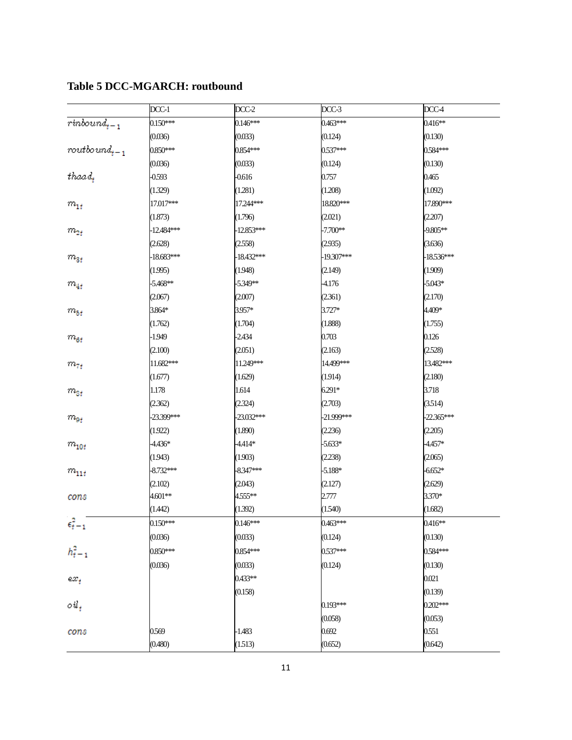|                                                                                                | DCC-1        | DCC-2        | $DCC-3$      | DCC-4        |
|------------------------------------------------------------------------------------------------|--------------|--------------|--------------|--------------|
|                                                                                                | $0.150***$   | $0.146***$   | $0.463***$   | $0.416**$    |
|                                                                                                | (0.036)      | (0.033)      | (0.124)      | (0.130)      |
|                                                                                                | $0.850***$   | 0.854***     | 0.537***     | 0.584***     |
| $\begin{array}{l} \overline{rinbound_{t-1}}\\ \\ \\ \\ \\ \hspace{1em} root \\ \\ \end{array}$ | (0.036)      | (0.033)      | (0.124)      | (0.130)      |
|                                                                                                | $-0.593$     | $-0.616$     | 0.757        | 0.465        |
|                                                                                                | (1.329)      | (1.281)      | (1.208)      | (1.092)      |
| $m_{1t}$                                                                                       | 17.017***    | 17.244***    | 18.820***    | 17.890***    |
|                                                                                                | (1.873)      | (1.796)      | (2.021)      | (2.207)      |
| $m_{2\it f}$                                                                                   | -12.484***   | $-12.853***$ | $-7.700**$   | -9.805**     |
|                                                                                                | (2.628)      | (2.558)      | (2.935)      | (3.636)      |
| $m_{3t}$                                                                                       | $-18.683***$ | $-18.432***$ | $-19.307***$ | $-18.536***$ |
|                                                                                                | (1.995)      | (1.948)      | (2.149)      | (1.909)      |
| $m_{4t}$                                                                                       | $-5.468**$   | $-5.349**$   | -4.176       | $-5.043*$    |
|                                                                                                | (2.067)      | (2.007)      | (2.361)      | (2.170)      |
| $m_{5\bar{t}}$                                                                                 | 3.864*       | 3.957*       | 3.727*       | 4.409*       |
|                                                                                                | (1.762)      | (1.704)      | (1.888)      | (1.755)      |
| $m_{\rm 6f}$                                                                                   | $-1.949$     | $-2.434$     | 0.703        | 0.126        |
|                                                                                                | (2.100)      | (2.051)      | (2.163)      | (2.528)      |
| $m_{7t}$                                                                                       | 11.682***    | 11.249***    | 14.499***    | 13.482***    |
|                                                                                                | (1.677)      | (1.629)      | (1.914)      | (2.180)      |
| $m_{\rm{S}f}$                                                                                  | 1.178        | 1.614        | $6.291*$     | 3.718        |
|                                                                                                | (2.362)      | (2.324)      | (2.703)      | (3.514)      |
| $m_{0\it f}$                                                                                   | -23.399***   | -23.032***   | -21.999***   | $-22.365***$ |
|                                                                                                | (1.922)      | (1.890)      | (2.236)      | (2.205)      |
| $m_{\rm 10f}$                                                                                  | $-4.436*$    | -4.414*      | $-5.633*$    | $-4.457*$    |
|                                                                                                | (1.943)      | (1.903)      | (2.238)      | (2.065)      |
| $m_{\rm 11f}$                                                                                  | $-8.732***$  | $-8.347***$  | $-5.188*$    | $-6.652*$    |
|                                                                                                | (2.102)      | (2.043)      | (2.127)      | (2.629)      |
| cons                                                                                           | 4.601**      | 4.555**      | 2.777        | 3.370*       |
|                                                                                                | (1.442)      | (1.392)      | (1.540)      | (1.682)      |
| $\epsilon_{t-1}^2$                                                                             | $0.150***$   | 0.146***     | 0.463***     | 0.416**      |
|                                                                                                | (0.036)      | (0.033)      | (0.124)      | (0.130)      |
| $h_{t-1}^2$                                                                                    | $0.850***$   | 0.854***     | 0.537***     | 0.584***     |
|                                                                                                | (0.036)      | (0.033)      | (0.124)      | (0.130)      |
| $ex_t$                                                                                         |              | 0.433**      |              | 0.021        |
|                                                                                                |              | (0.158)      |              | (0.139)      |
| oil,                                                                                           |              |              | 0.193***     | $0.202***$   |
|                                                                                                |              |              | (0.058)      | (0.053)      |
| cons                                                                                           | 0.569        | $-1.483$     | 0.692        | 0.551        |
|                                                                                                | (0.480)      | (1.513)      | (0.652)      | (0.642)      |

# **Table 5 DCC-MGARCH: routbound**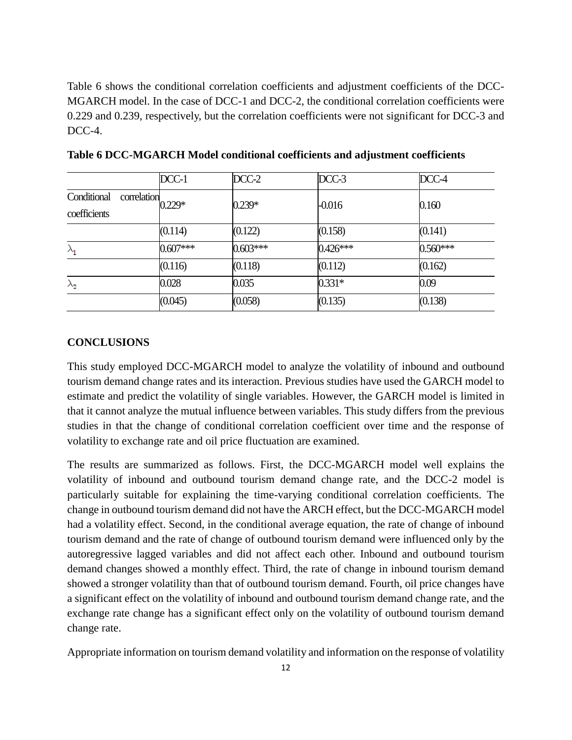Table 6 shows the conditional correlation coefficients and adjustment coefficients of the DCC-MGARCH model. In the case of DCC-1 and DCC-2, the conditional correlation coefficients were 0.229 and 0.239, respectively, but the correlation coefficients were not significant for DCC-3 and DCC-4.

|                                            | DCC-1      | $DCC-2$    | DCC-3      | DCC-4      |
|--------------------------------------------|------------|------------|------------|------------|
| Conditional<br>correlation<br>coefficients | $0.229*$   | $0.239*$   | $-0.016$   | 0.160      |
|                                            | (0.114)    | (0.122)    | (0.158)    | (0.141)    |
| $\lambda_{\mathbf{1}}$                     | $0.607***$ | $0.603***$ | $0.426***$ | $0.560***$ |
|                                            | (0.116)    | (0.118)    | (0.112)    | (0.162)    |
| $\lambda_2$                                | 0.028      | 0.035      | $0.331*$   | 0.09       |
|                                            | (0.045)    | (0.058)    | (0.135)    | (0.138)    |

**Table 6 DCC-MGARCH Model conditional coefficients and adjustment coefficients**

# **CONCLUSIONS**

This study employed DCC-MGARCH model to analyze the volatility of inbound and outbound tourism demand change rates and its interaction. Previous studies have used the GARCH model to estimate and predict the volatility of single variables. However, the GARCH model is limited in that it cannot analyze the mutual influence between variables. This study differs from the previous studies in that the change of conditional correlation coefficient over time and the response of volatility to exchange rate and oil price fluctuation are examined.

The results are summarized as follows. First, the DCC-MGARCH model well explains the volatility of inbound and outbound tourism demand change rate, and the DCC-2 model is particularly suitable for explaining the time-varying conditional correlation coefficients. The change in outbound tourism demand did not have the ARCH effect, but the DCC-MGARCH model had a volatility effect. Second, in the conditional average equation, the rate of change of inbound tourism demand and the rate of change of outbound tourism demand were influenced only by the autoregressive lagged variables and did not affect each other. Inbound and outbound tourism demand changes showed a monthly effect. Third, the rate of change in inbound tourism demand showed a stronger volatility than that of outbound tourism demand. Fourth, oil price changes have a significant effect on the volatility of inbound and outbound tourism demand change rate, and the exchange rate change has a significant effect only on the volatility of outbound tourism demand change rate.

Appropriate information on tourism demand volatility and information on the response of volatility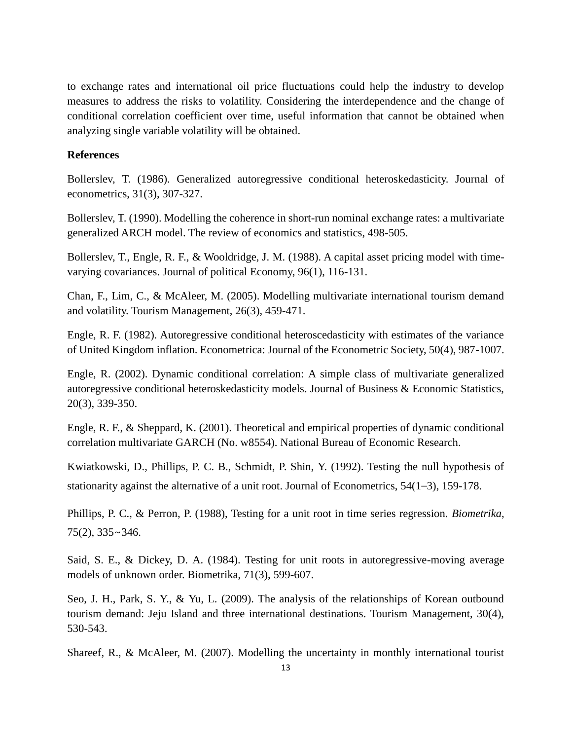to exchange rates and international oil price fluctuations could help the industry to develop measures to address the risks to volatility. Considering the interdependence and the change of conditional correlation coefficient over time, useful information that cannot be obtained when analyzing single variable volatility will be obtained.

# **References**

Bollerslev, T. (1986). Generalized autoregressive conditional heteroskedasticity. Journal of econometrics, 31(3), 307-327.

Bollerslev, T. (1990). Modelling the coherence in short-run nominal exchange rates: a multivariate generalized ARCH model. The review of economics and statistics, 498-505.

Bollerslev, T., Engle, R. F., & Wooldridge, J. M. (1988). A capital asset pricing model with timevarying covariances. Journal of political Economy, 96(1), 116-131.

Chan, F., Lim, C., & McAleer, M. (2005). Modelling multivariate international tourism demand and volatility. Tourism Management, 26(3), 459-471.

Engle, R. F. (1982). Autoregressive conditional heteroscedasticity with estimates of the variance of United Kingdom inflation. Econometrica: Journal of the Econometric Society, 50(4), 987-1007.

Engle, R. (2002). Dynamic conditional correlation: A simple class of multivariate generalized autoregressive conditional heteroskedasticity models. Journal of Business & Economic Statistics, 20(3), 339-350.

Engle, R. F., & Sheppard, K. (2001). Theoretical and empirical properties of dynamic conditional correlation multivariate GARCH (No. w8554). National Bureau of Economic Research.

Kwiatkowski, D., Phillips, P. C. B., Schmidt, P. Shin, Y. (1992). Testing the null hypothesis of stationarity against the alternative of a unit root. Journal of Econometrics, 54(1–3), 159-178.

Phillips, P. C., & Perron, P. (1988), Testing for a unit root in time series regression. *Biometrika*, 75(2), 335∼346.

Said, S. E., & Dickey, D. A. (1984). Testing for unit roots in autoregressive-moving average models of unknown order. Biometrika, 71(3), 599-607.

Seo, J. H., Park, S. Y., & Yu, L. (2009). The analysis of the relationships of Korean outbound tourism demand: Jeju Island and three international destinations. Tourism Management, 30(4), 530-543.

Shareef, R., & McAleer, M. (2007). Modelling the uncertainty in monthly international tourist